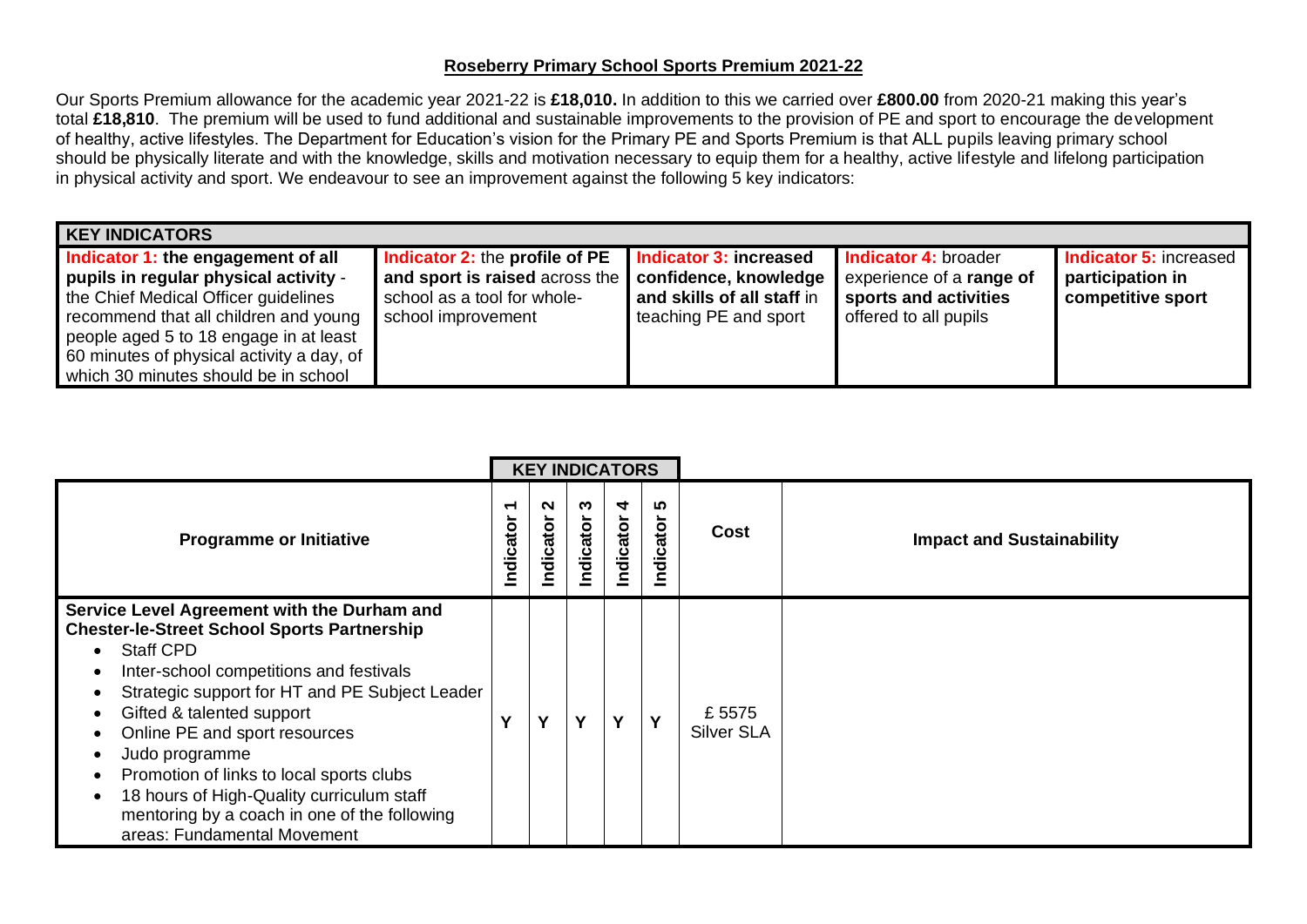## **Roseberry Primary School Sports Premium 2021-22**

Our Sports Premium allowance for the academic year 2021-22 is **£18,010.** In addition to this we carried over **£800.00** from 2020-21 making this year's total **£18,810**. The premium will be used to fund additional and sustainable improvements to the provision of PE and sport to encourage the development of healthy, active lifestyles. The Department for Education's vision for the Primary PE and Sports Premium is that ALL pupils leaving primary school should be physically literate and with the knowledge, skills and motivation necessary to equip them for a healthy, active lifestyle and lifelong participation in physical activity and sport. We endeavour to see an improvement against the following 5 key indicators:

| <b>KEY INDICATORS</b>                                                                                                                                                                                                                                                                       |                                                                                                                              |                                                                                                               |                                                                                                           |                                                                        |
|---------------------------------------------------------------------------------------------------------------------------------------------------------------------------------------------------------------------------------------------------------------------------------------------|------------------------------------------------------------------------------------------------------------------------------|---------------------------------------------------------------------------------------------------------------|-----------------------------------------------------------------------------------------------------------|------------------------------------------------------------------------|
| Indicator 1: the engagement of all<br>pupils in regular physical activity -<br>the Chief Medical Officer guidelines<br>recommend that all children and young<br>people aged 5 to 18 engage in at least<br>60 minutes of physical activity a day, of<br>which 30 minutes should be in school | <b>Indicator 2: the profile of PE</b><br>and sport is raised across the<br>school as a tool for whole-<br>school improvement | <b>Indicator 3: increased</b><br>confidence, knowledge<br>and skills of all staff in<br>teaching PE and sport | Indicator 4: broader<br>experience of a <b>range of</b><br>sports and activities<br>offered to all pupils | <b>Indicator 5: increased</b><br>participation in<br>competitive sport |

|                                                                                                                                                                                                                                                                                                                                                                                                                                                                            |                | <b>KEY INDICATORS</b> |                |                |                 |                            |                                  |
|----------------------------------------------------------------------------------------------------------------------------------------------------------------------------------------------------------------------------------------------------------------------------------------------------------------------------------------------------------------------------------------------------------------------------------------------------------------------------|----------------|-----------------------|----------------|----------------|-----------------|----------------------------|----------------------------------|
| <b>Programme or Initiative</b>                                                                                                                                                                                                                                                                                                                                                                                                                                             | ↽<br>Indicator | $\sim$<br>Indicator   | ო<br>Indicator | 4<br>Indicator | r.<br>Indicator | Cost                       | <b>Impact and Sustainability</b> |
| Service Level Agreement with the Durham and<br><b>Chester-le-Street School Sports Partnership</b><br><b>Staff CPD</b><br>Inter-school competitions and festivals<br>Strategic support for HT and PE Subject Leader<br>Gifted & talented support<br>Online PE and sport resources<br>Judo programme<br>Promotion of links to local sports clubs<br>18 hours of High-Quality curriculum staff<br>mentoring by a coach in one of the following<br>areas: Fundamental Movement | v              | Y                     | v              | Y              | Y               | £5575<br><b>Silver SLA</b> |                                  |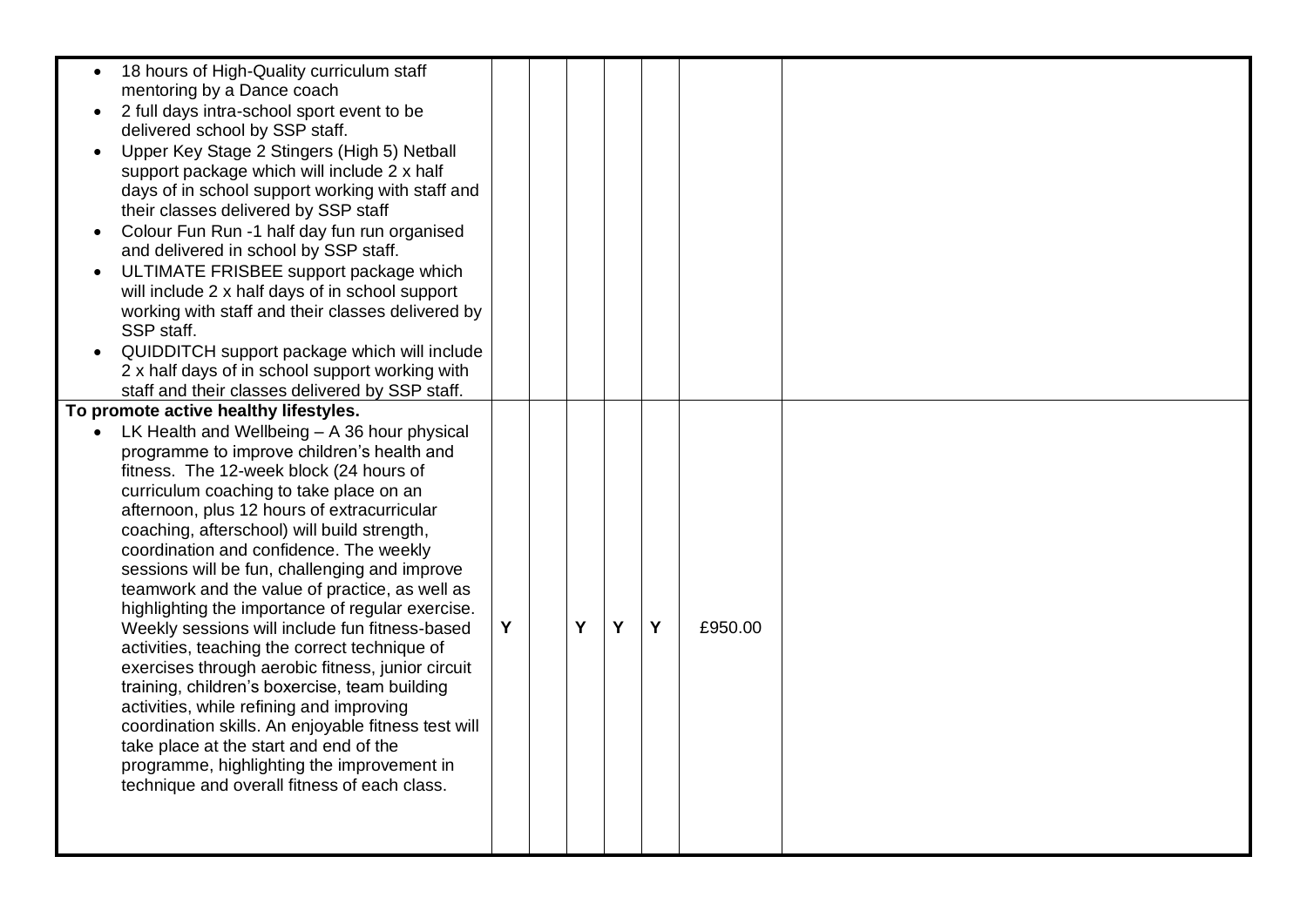| 18 hours of High-Quality curriculum staff<br>mentoring by a Dance coach<br>2 full days intra-school sport event to be<br>delivered school by SSP staff.<br>Upper Key Stage 2 Stingers (High 5) Netball<br>support package which will include 2 x half<br>days of in school support working with staff and<br>their classes delivered by SSP staff<br>Colour Fun Run -1 half day fun run organised<br>and delivered in school by SSP staff.<br>ULTIMATE FRISBEE support package which<br>will include 2 x half days of in school support<br>working with staff and their classes delivered by<br>SSP staff.<br>QUIDDITCH support package which will include<br>2 x half days of in school support working with<br>staff and their classes delivered by SSP staff.                                                                                                                                                                                                              |   |   |   |   |         |  |
|-------------------------------------------------------------------------------------------------------------------------------------------------------------------------------------------------------------------------------------------------------------------------------------------------------------------------------------------------------------------------------------------------------------------------------------------------------------------------------------------------------------------------------------------------------------------------------------------------------------------------------------------------------------------------------------------------------------------------------------------------------------------------------------------------------------------------------------------------------------------------------------------------------------------------------------------------------------------------------|---|---|---|---|---------|--|
| To promote active healthy lifestyles.<br>LK Health and Wellbeing - A 36 hour physical<br>programme to improve children's health and<br>fitness. The 12-week block (24 hours of<br>curriculum coaching to take place on an<br>afternoon, plus 12 hours of extracurricular<br>coaching, afterschool) will build strength,<br>coordination and confidence. The weekly<br>sessions will be fun, challenging and improve<br>teamwork and the value of practice, as well as<br>highlighting the importance of regular exercise.<br>Weekly sessions will include fun fitness-based<br>activities, teaching the correct technique of<br>exercises through aerobic fitness, junior circuit<br>training, children's boxercise, team building<br>activities, while refining and improving<br>coordination skills. An enjoyable fitness test will<br>take place at the start and end of the<br>programme, highlighting the improvement in<br>technique and overall fitness of each class. | Y | Y | Y | Y | £950.00 |  |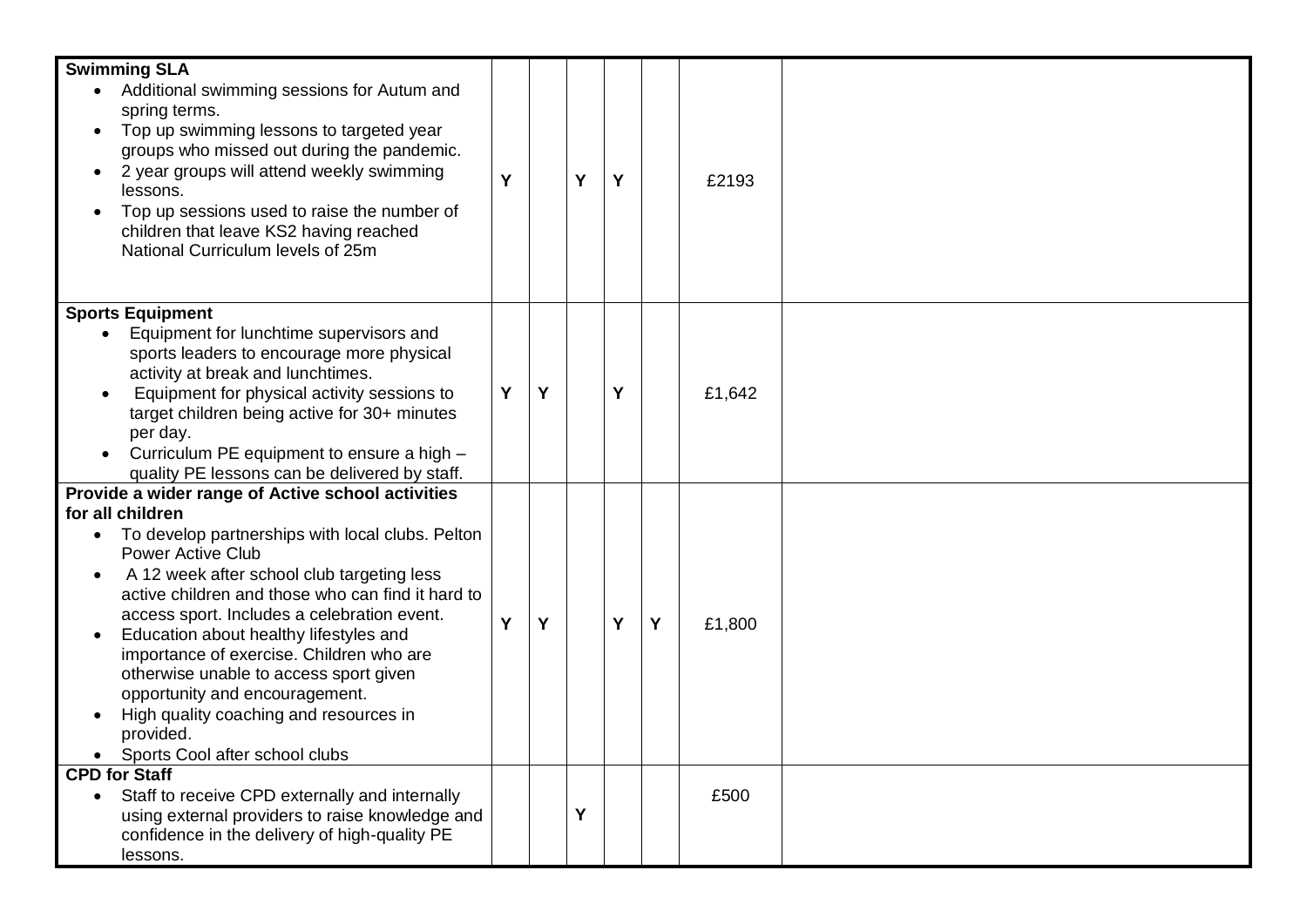| <b>Swimming SLA</b>                                                                       |   |   |   |   |   |        |  |
|-------------------------------------------------------------------------------------------|---|---|---|---|---|--------|--|
| Additional swimming sessions for Autum and<br>$\bullet$<br>spring terms.                  |   |   |   |   |   |        |  |
| Top up swimming lessons to targeted year                                                  |   |   |   |   |   |        |  |
| groups who missed out during the pandemic.                                                |   |   |   |   |   |        |  |
| 2 year groups will attend weekly swimming                                                 | Y |   | Y | Y |   | £2193  |  |
| lessons.                                                                                  |   |   |   |   |   |        |  |
| Top up sessions used to raise the number of                                               |   |   |   |   |   |        |  |
| children that leave KS2 having reached<br>National Curriculum levels of 25m               |   |   |   |   |   |        |  |
|                                                                                           |   |   |   |   |   |        |  |
|                                                                                           |   |   |   |   |   |        |  |
| <b>Sports Equipment</b>                                                                   |   |   |   |   |   |        |  |
| Equipment for lunchtime supervisors and                                                   |   |   |   |   |   |        |  |
| sports leaders to encourage more physical<br>activity at break and lunchtimes.            |   |   |   |   |   |        |  |
| Equipment for physical activity sessions to                                               | Y | Y |   | Y |   | £1,642 |  |
| target children being active for 30+ minutes                                              |   |   |   |   |   |        |  |
| per day.                                                                                  |   |   |   |   |   |        |  |
| Curriculum PE equipment to ensure a high -                                                |   |   |   |   |   |        |  |
| quality PE lessons can be delivered by staff.                                             |   |   |   |   |   |        |  |
| Provide a wider range of Active school activities                                         |   |   |   |   |   |        |  |
| for all children                                                                          |   |   |   |   |   |        |  |
| To develop partnerships with local clubs. Pelton<br>$\bullet$<br><b>Power Active Club</b> |   |   |   |   |   |        |  |
| A 12 week after school club targeting less                                                |   |   |   |   |   |        |  |
| active children and those who can find it hard to                                         |   |   |   |   |   |        |  |
| access sport. Includes a celebration event.                                               | Y | Y |   | Y | Y | £1,800 |  |
| Education about healthy lifestyles and                                                    |   |   |   |   |   |        |  |
| importance of exercise. Children who are                                                  |   |   |   |   |   |        |  |
| otherwise unable to access sport given                                                    |   |   |   |   |   |        |  |
| opportunity and encouragement.<br>High quality coaching and resources in                  |   |   |   |   |   |        |  |
| provided.                                                                                 |   |   |   |   |   |        |  |
| Sports Cool after school clubs                                                            |   |   |   |   |   |        |  |
| <b>CPD for Staff</b>                                                                      |   |   |   |   |   |        |  |
| Staff to receive CPD externally and internally<br>$\bullet$                               |   |   |   |   |   | £500   |  |
| using external providers to raise knowledge and                                           |   |   | Y |   |   |        |  |
| confidence in the delivery of high-quality PE                                             |   |   |   |   |   |        |  |
| lessons.                                                                                  |   |   |   |   |   |        |  |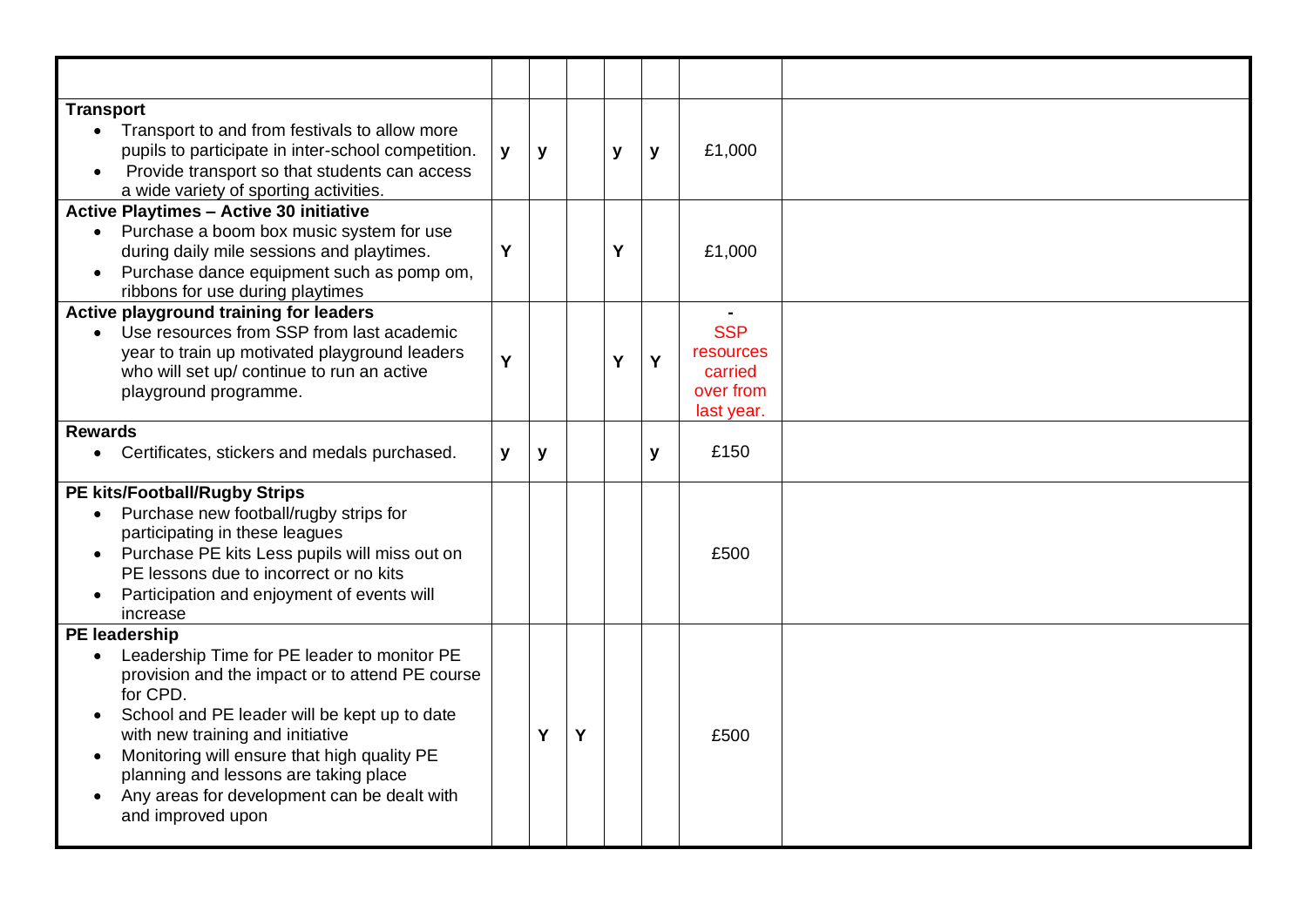| <b>Transport</b><br>Transport to and from festivals to allow more<br>pupils to participate in inter-school competition.<br>Provide transport so that students can access<br>a wide variety of sporting activities.                                                                                                                                                                                           | y | y |   | y | y | £1,000                                                             |  |
|--------------------------------------------------------------------------------------------------------------------------------------------------------------------------------------------------------------------------------------------------------------------------------------------------------------------------------------------------------------------------------------------------------------|---|---|---|---|---|--------------------------------------------------------------------|--|
| <b>Active Playtimes - Active 30 initiative</b><br>Purchase a boom box music system for use<br>during daily mile sessions and playtimes.<br>Purchase dance equipment such as pomp om,<br>$\bullet$<br>ribbons for use during playtimes                                                                                                                                                                        | Y |   |   | Υ |   | £1,000                                                             |  |
| Active playground training for leaders<br>Use resources from SSP from last academic<br>year to train up motivated playground leaders<br>who will set up/ continue to run an active<br>playground programme.                                                                                                                                                                                                  | Y |   |   | Y | Y | ٠<br><b>SSP</b><br>resources<br>carried<br>over from<br>last year. |  |
| <b>Rewards</b><br>Certificates, stickers and medals purchased.<br>$\bullet$                                                                                                                                                                                                                                                                                                                                  | y | y |   |   | y | £150                                                               |  |
| <b>PE kits/Football/Rugby Strips</b><br>Purchase new football/rugby strips for<br>participating in these leagues<br>Purchase PE kits Less pupils will miss out on<br>PE lessons due to incorrect or no kits<br>Participation and enjoyment of events will<br>increase                                                                                                                                        |   |   |   |   |   | £500                                                               |  |
| <b>PE</b> leadership<br>Leadership Time for PE leader to monitor PE<br>provision and the impact or to attend PE course<br>for CPD.<br>School and PE leader will be kept up to date<br>$\bullet$<br>with new training and initiative<br>Monitoring will ensure that high quality PE<br>planning and lessons are taking place<br>Any areas for development can be dealt with<br>$\bullet$<br>and improved upon |   | Y | Y |   |   | £500                                                               |  |